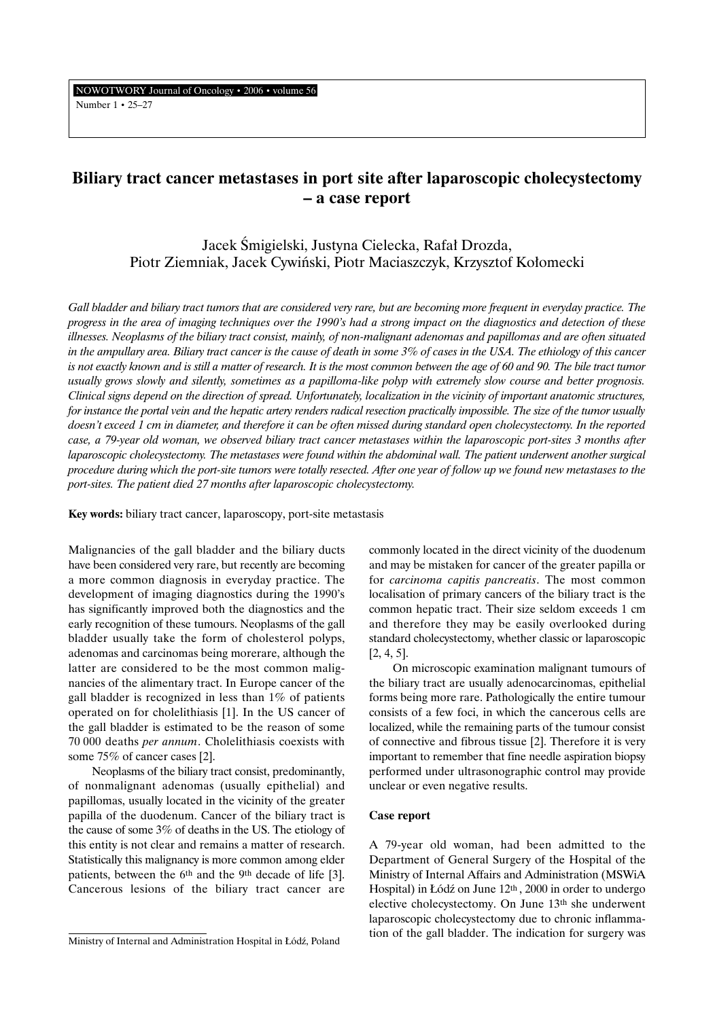NOWOTWORY Journal of Oncology • 2006 • volume 56 Number 1 • 25–27

# **Biliary tract cancer metastases in port site after laparoscopic cholecystectomy – a case report**

Jacek Âmigielski, Justyna Cielecka, Rafa∏ Drozda, Piotr Ziemniak, Jacek Cywiński, Piotr Maciaszczyk, Krzysztof Kołomecki

*Gall bladder and biliary tract tumors that are considered very rare, but are becoming more frequent in everyday practice. The progress in the area of imaging techniques over the 1990's had a strong impact on the diagnostics and detection of these illnesses. Neoplasms of the biliary tract consist, mainly, of non-malignant adenomas and papillomas and are often situated in the ampullary area. Biliary tract cancer is the cause of death in some 3% of cases in the USA. The ethiology of this cancer is not exactly known and is still a matter of research. It is the most common between the age of 60 and 90. The bile tract tumor usually grows slowly and silently, sometimes as a papilloma-like polyp with extremely slow course and better prognosis. Clinical signs depend on the direction of spread. Unfortunately, localization in the vicinity of important anatomic structures, for instance the portal vein and the hepatic artery renders radical resection practically impossible. The size of the tumor usually doesn't exceed 1 cm in diameter, and therefore it can be often missed during standard open cholecystectomy. In the reported case, a 79-year old woman, we observed biliary tract cancer metastases within the laparoscopic port-sites 3 months after laparoscopic cholecystectomy. The metastases were found within the abdominal wall. The patient underwent another surgical procedure during which the port-site tumors were totally resected. After one year of follow up we found new metastases to the port-sites. The patient died 27 months after laparoscopic cholecystectomy.*

**Key words:** biliary tract cancer, laparoscopy, port-site metastasis

Malignancies of the gall bladder and the biliary ducts have been considered very rare, but recently are becoming a more common diagnosis in everyday practice. The development of imaging diagnostics during the 1990's has significantly improved both the diagnostics and the early recognition of these tumours. Neoplasms of the gall bladder usually take the form of cholesterol polyps, adenomas and carcinomas being morerare, although the latter are considered to be the most common malignancies of the alimentary tract. In Europe cancer of the gall bladder is recognized in less than 1% of patients operated on for cholelithiasis [1]. In the US cancer of the gall bladder is estimated to be the reason of some 70 000 deaths *per annum*. Cholelithiasis coexists with some 75% of cancer cases [2].

Neoplasms of the biliary tract consist, predominantly, of nonmalignant adenomas (usually epithelial) and papillomas, usually located in the vicinity of the greater papilla of the duodenum. Cancer of the biliary tract is the cause of some 3% of deaths in the US. The etiology of this entity is not clear and remains a matter of research. Statistically this malignancy is more common among elder patients, between the 6th and the 9th decade of life [3]. Cancerous lesions of the biliary tract cancer are

commonly located in the direct vicinity of the duodenum and may be mistaken for cancer of the greater papilla or for *carcinoma capitis pancreatis*. The most common localisation of primary cancers of the biliary tract is the common hepatic tract. Their size seldom exceeds 1 cm and therefore they may be easily overlooked during standard cholecystectomy, whether classic or laparoscopic [2, 4, 5].

On microscopic examination malignant tumours of the biliary tract are usually adenocarcinomas, epithelial forms being more rare. Pathologically the entire tumour consists of a few foci, in which the cancerous cells are localized, while the remaining parts of the tumour consist of connective and fibrous tissue [2]. Therefore it is very important to remember that fine needle aspiration biopsy performed under ultrasonographic control may provide unclear or even negative results.

## **Case report**

A 79-year old woman, had been admitted to the Department of General Surgery of the Hospital of the Ministry of Internal Affairs and Administration (MSWiA Hospital) in Łódź on June  $12<sup>th</sup>$ , 2000 in order to undergo elective cholecystectomy. On June 13th she underwent laparoscopic cholecystectomy due to chronic inflammation of the gall bladder. The indication for surgery was

Ministry of Internal and Administration Hospital in Łódź, Poland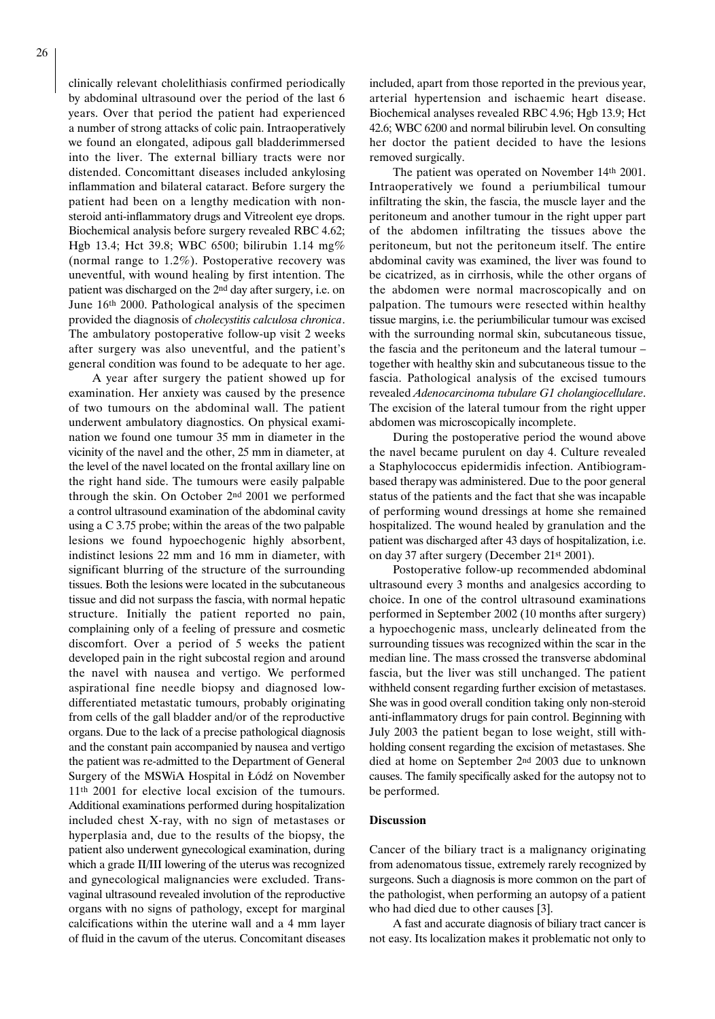clinically relevant cholelithiasis confirmed periodically by abdominal ultrasound over the period of the last 6 years. Over that period the patient had experienced a number of strong attacks of colic pain. Intraoperatively we found an elongated, adipous gall bladderimmersed into the liver. The external billiary tracts were nor distended. Concomittant diseases included ankylosing inflammation and bilateral cataract. Before surgery the patient had been on a lengthy medication with nonsteroid anti-inflammatory drugs and Vitreolent eye drops. Biochemical analysis before surgery revealed RBC 4.62; Hgb 13.4; Hct 39.8; WBC 6500; bilirubin 1.14 mg% (normal range to 1.2%). Postoperative recovery was uneventful, with wound healing by first intention. The patient was discharged on the 2nd day after surgery, i.e. on June 16th 2000. Pathological analysis of the specimen provided the diagnosis of *cholecystitis calculosa chronica*. The ambulatory postoperative follow-up visit 2 weeks after surgery was also uneventful, and the patient's general condition was found to be adequate to her age.

A year after surgery the patient showed up for examination. Her anxiety was caused by the presence of two tumours on the abdominal wall. The patient underwent ambulatory diagnostics. On physical examination we found one tumour 35 mm in diameter in the vicinity of the navel and the other, 25 mm in diameter, at the level of the navel located on the frontal axillary line on the right hand side. The tumours were easily palpable through the skin. On October 2nd 2001 we performed a control ultrasound examination of the abdominal cavity using a C 3.75 probe; within the areas of the two palpable lesions we found hypoechogenic highly absorbent, indistinct lesions 22 mm and 16 mm in diameter, with significant blurring of the structure of the surrounding tissues. Both the lesions were located in the subcutaneous tissue and did not surpass the fascia, with normal hepatic structure. Initially the patient reported no pain, complaining only of a feeling of pressure and cosmetic discomfort. Over a period of 5 weeks the patient developed pain in the right subcostal region and around the navel with nausea and vertigo. We performed aspirational fine needle biopsy and diagnosed lowdifferentiated metastatic tumours, probably originating from cells of the gall bladder and/or of the reproductive organs. Due to the lack of a precise pathological diagnosis and the constant pain accompanied by nausea and vertigo the patient was re-admitted to the Department of General Surgery of the MSWiA Hospital in Łódź on November 11th 2001 for elective local excision of the tumours. Additional examinations performed during hospitalization included chest X-ray, with no sign of metastases or hyperplasia and, due to the results of the biopsy, the patient also underwent gynecological examination, during which a grade II/III lowering of the uterus was recognized and gynecological malignancies were excluded. Transvaginal ultrasound revealed involution of the reproductive organs with no signs of pathology, except for marginal calcifications within the uterine wall and a 4 mm layer of fluid in the cavum of the uterus. Concomitant diseases included, apart from those reported in the previous year, arterial hypertension and ischaemic heart disease. Biochemical analyses revealed RBC 4.96; Hgb 13.9; Hct 42.6; WBC 6200 and normal bilirubin level. On consulting her doctor the patient decided to have the lesions removed surgically.

The patient was operated on November 14th 2001. Intraoperatively we found a periumbilical tumour infiltrating the skin, the fascia, the muscle layer and the peritoneum and another tumour in the right upper part of the abdomen infiltrating the tissues above the peritoneum, but not the peritoneum itself. The entire abdominal cavity was examined, the liver was found to be cicatrized, as in cirrhosis, while the other organs of the abdomen were normal macroscopically and on palpation. The tumours were resected within healthy tissue margins, i.e. the periumbilicular tumour was excised with the surrounding normal skin, subcutaneous tissue, the fascia and the peritoneum and the lateral tumour – together with healthy skin and subcutaneous tissue to the fascia. Pathological analysis of the excised tumours revealed *Adenocarcinoma tubulare G1 cholangiocellulare*. The excision of the lateral tumour from the right upper abdomen was microscopically incomplete.

During the postoperative period the wound above the navel became purulent on day 4. Culture revealed a Staphylococcus epidermidis infection. Antibiogrambased therapy was administered. Due to the poor general status of the patients and the fact that she was incapable of performing wound dressings at home she remained hospitalized. The wound healed by granulation and the patient was discharged after 43 days of hospitalization, i.e. on day 37 after surgery (December 21st 2001).

Postoperative follow-up recommended abdominal ultrasound every 3 months and analgesics according to choice. In one of the control ultrasound examinations performed in September 2002 (10 months after surgery) a hypoechogenic mass, unclearly delineated from the surrounding tissues was recognized within the scar in the median line. The mass crossed the transverse abdominal fascia, but the liver was still unchanged. The patient withheld consent regarding further excision of metastases. She was in good overall condition taking only non-steroid anti-inflammatory drugs for pain control. Beginning with July 2003 the patient began to lose weight, still withholding consent regarding the excision of metastases. She died at home on September 2nd 2003 due to unknown causes. The family specifically asked for the autopsy not to be performed.

### **Discussion**

Cancer of the biliary tract is a malignancy originating from adenomatous tissue, extremely rarely recognized by surgeons. Such a diagnosis is more common on the part of the pathologist, when performing an autopsy of a patient who had died due to other causes [3].

A fast and accurate diagnosis of biliary tract cancer is not easy. Its localization makes it problematic not only to